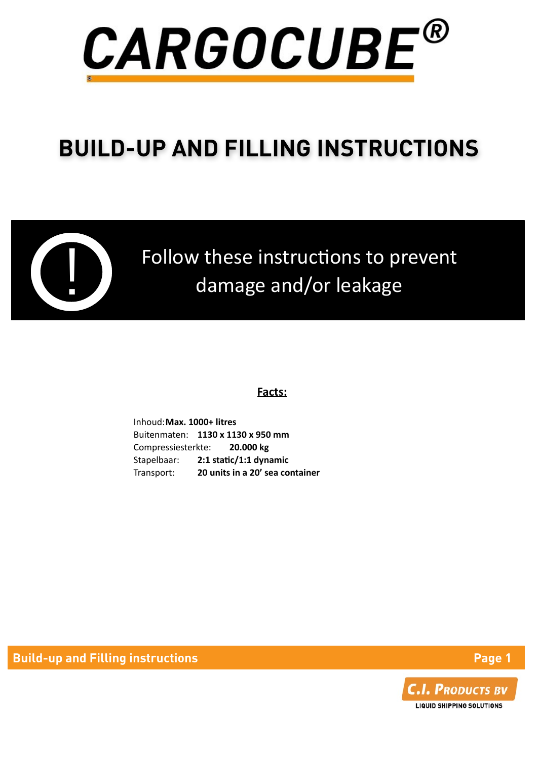

# **BUILD-UP AND FILLING INSTRUCTIONS**



Follow these instructions to prevent damage and/or leakage

#### **Facts:**

Inhoud: Max. 1000+ litres Buitenmaten: **1130 x 1130 x 950 mm** Compressiesterkte: **20.000 kg**  Stapelbaar: **2:1 static/1:1 dynamic** Transport: **20 units in a 20' sea container** 

**Build-up and Filling instructions And American Control of the Page 1** 

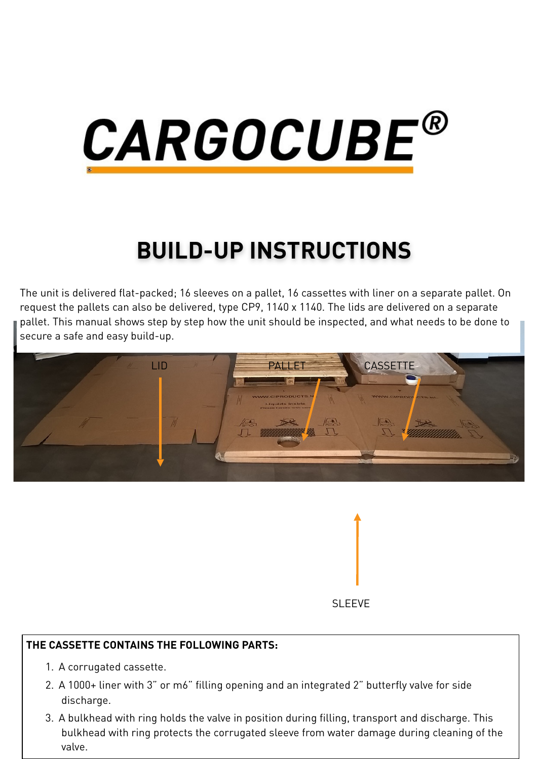

## **BUILD-UP INSTRUCTIONS**

The unit is delivered flat-packed; 16 sleeves on a pallet, 16 cassettes with liner on a separate pallet. On request the pallets can also be delivered, type CP9, 1140 x 1140. The lids are delivered on a separate pallet. This manual shows step by step how the unit should be inspected, and what needs to be done to secure a safe and easy build-up.





#### **THE CASSETTE CONTAINS THE FOLLOWING PARTS:**

- 1. A corrugated cassette.
- 2. A 1000+ liner with 3" or m6" filling opening and an integrated 2" butterfly valve for side discharge.
- 3. A bulkhead with ring holds the valve in position during filling, transport and discharge. This bulkhead with ring protects the corrugated sleeve from water damage during cleaning of the valve.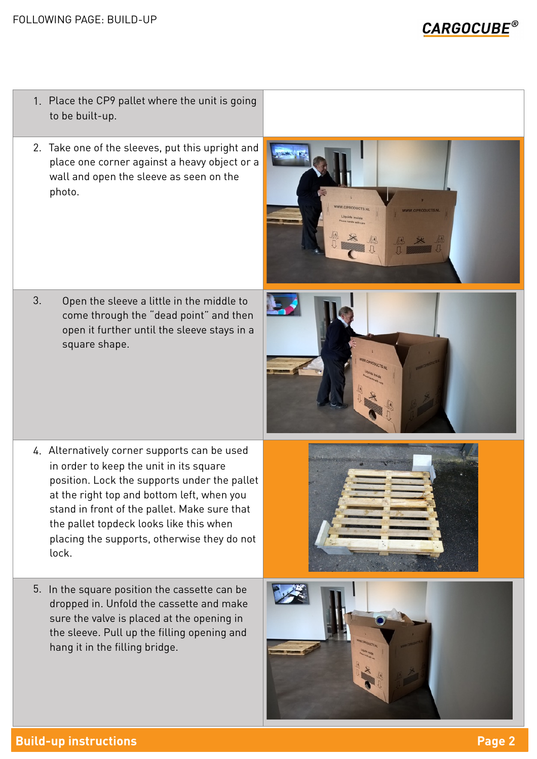**CARGOCUBE®** 

- 1. Place the CP9 pallet where the unit is going to be built-up.
- 2. Take one of the sleeves, put this upright and place one corner against a heavy object or a wall and open the sleeve as seen on the photo.



3. Open the sleeve a little in the middle to come through the "dead point" and then open it further until the sleeve stays in a square shape.



- 4. Alternatively corner supports can be used in order to keep the unit in its square position. Lock the supports under the pallet at the right top and bottom left, when you stand in front of the pallet. Make sure that the pallet topdeck looks like this when placing the supports, otherwise they do not lock.
- 5. In the square position the cassette can be dropped in. Unfold the cassette and make sure the valve is placed at the opening in the sleeve. Pull up the filling opening and hang it in the filling bridge.



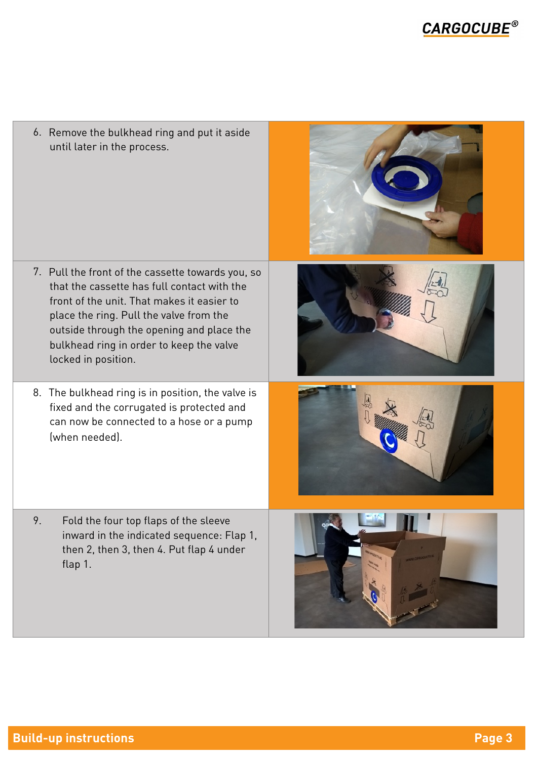6. Remove the bulkhead ring and put it aside until later in the process.

- 7. Pull the front of the cassette towards you, so that the cassette has full contact with the front of the unit. That makes it easier to place the ring. Pull the valve from the outside through the opening and place the bulkhead ring in order to keep the valve locked in position.
- 8. The bulkhead ring is in position, the valve is fixed and the corrugated is protected and can now be connected to a hose or a pump (when needed).
- 9. Fold the four top flaps of the sleeve inward in the indicated sequence: Flap 1, then 2, then 3, then 4. Put flap 4 under flap 1.







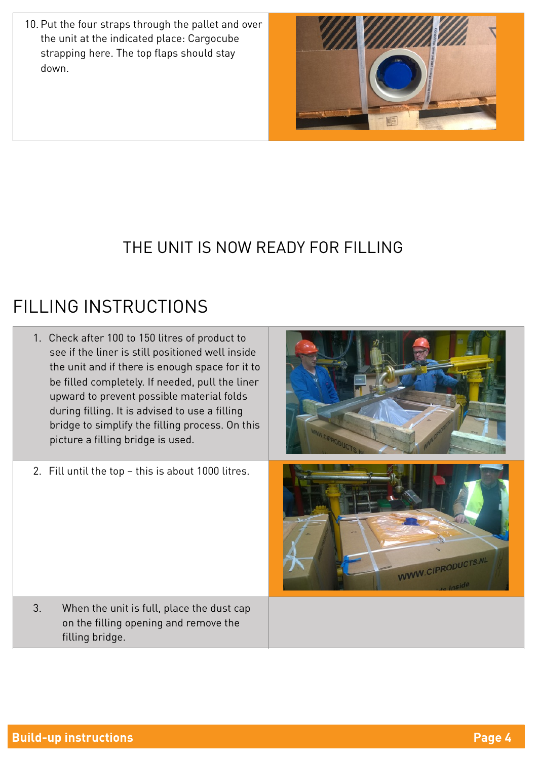10. Put the four straps through the pallet and over the unit at the indicated place: Cargocube strapping here. The top flaps should stay down.



#### THE UNIT IS NOW READY FOR FILLING

### FILLING INSTRUCTIONS

- 1. Check after 100 to 150 litres of product to see if the liner is still positioned well inside the unit and if there is enough space for it to be filled completely. If needed, pull the liner upward to prevent possible material folds during filling. It is advised to use a filling bridge to simplify the filling process. On this picture a filling bridge is used. 2. Fill until the top – this is about 1000 litres.
	- 3. When the unit is full, place the dust cap on the filling opening and remove the filling bridge.



WWW.CIPRODUCTS.NL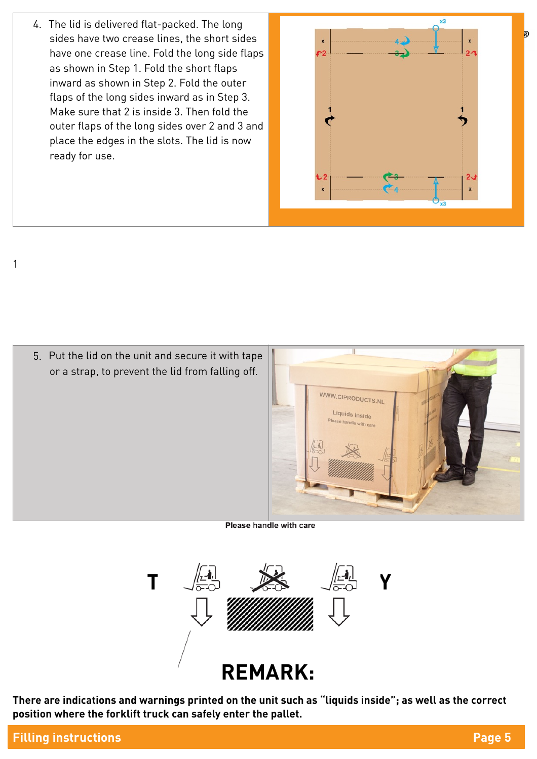4. The lid is delivered flat-packed. The long sides have two crease lines, the short sides have one crease line. Fold the long side flaps as shown in Step 1. Fold the short flaps inward as shown in Step 2. Fold the outer flaps of the long sides inward as in Step 3. Make sure that 2 is inside 3. Then fold the outer flaps of the long sides over 2 and 3 and place the edges in the slots. The lid is now ready for use.



5. Put the lid on the unit and secure it with tape or a strap, to prevent the lid from falling off.



Please handle with care



**There are indications and warnings printed on the unit such as "liquids inside"; as well as the correct position where the forklift truck can safely enter the pallet.** 

1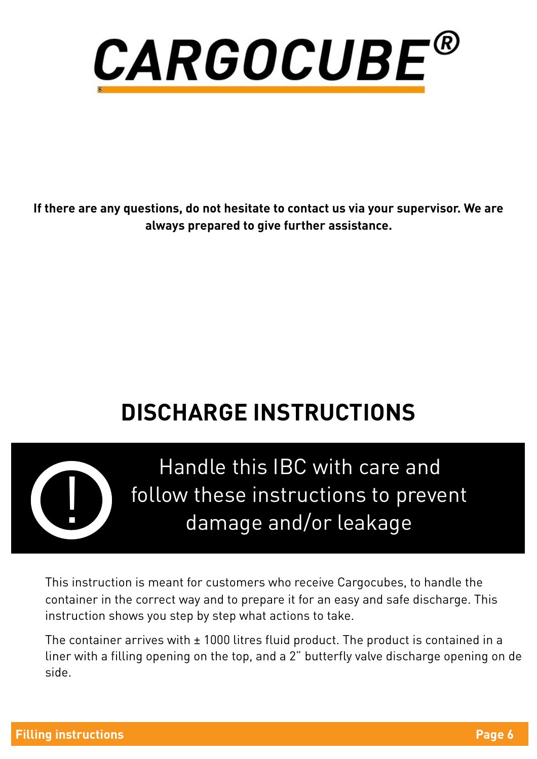

**If there are any questions, do not hesitate to contact us via your supervisor. We are always prepared to give further assistance.**

## **DISCHARGE INSTRUCTIONS**



Handle this IBC with care and follow these instructions to prevent damage and/or leakage

This instruction is meant for customers who receive Cargocubes, to handle the container in the correct way and to prepare it for an easy and safe discharge. This instruction shows you step by step what actions to take.

The container arrives with  $\pm$  1000 litres fluid product. The product is contained in a liner with a filling opening on the top, and a 2" butterfly valve discharge opening on de side.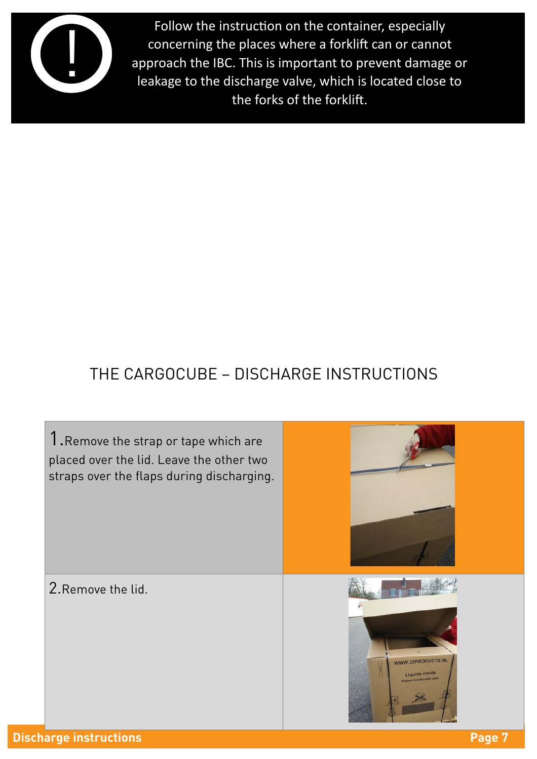

Follow the instruction on the container, especially concerning the places where a forklift can or cannot approach the IBC. This is important to prevent damage or leakage to the discharge valve, which is located close to the forks of the forklift.

### THE CARGOCUBE – DISCHARGE INSTRUCTIONS

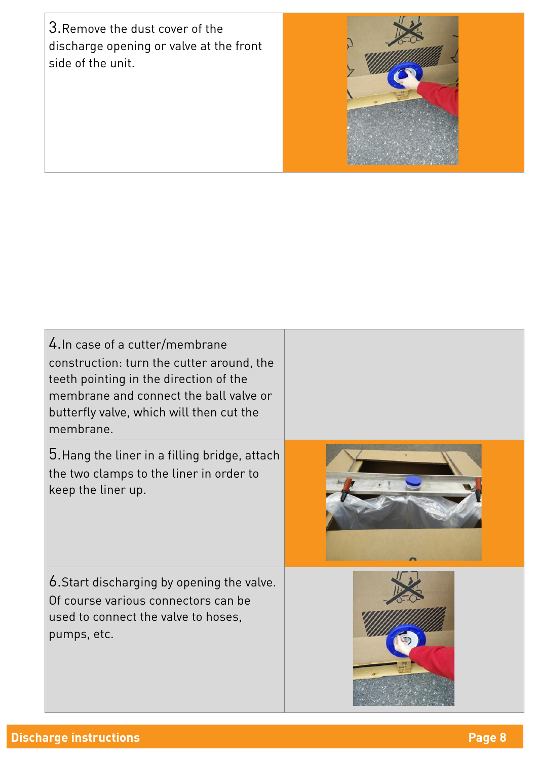3.Remove the dust cover of the discharge opening or valve at the front side of the unit.



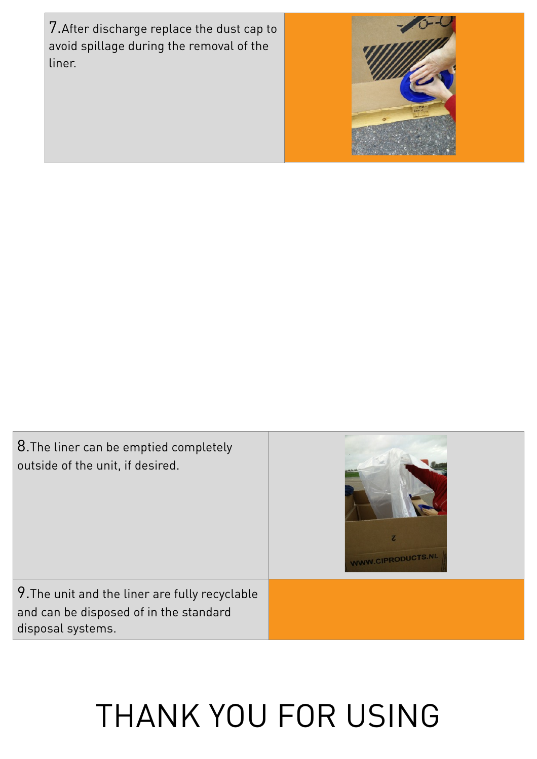7.After discharge replace the dust cap to avoid spillage during the removal of the liner.



| 8. The liner can be emptied completely<br>outside of the unit, if desired. | z<br>WWW.CIPRODUCTS.NL |
|----------------------------------------------------------------------------|------------------------|
| 9. The unit and the liner are fully recyclable                             |                        |
| and can be disposed of in the standard<br>disposal systems.                |                        |

# THANK YOU FOR USING